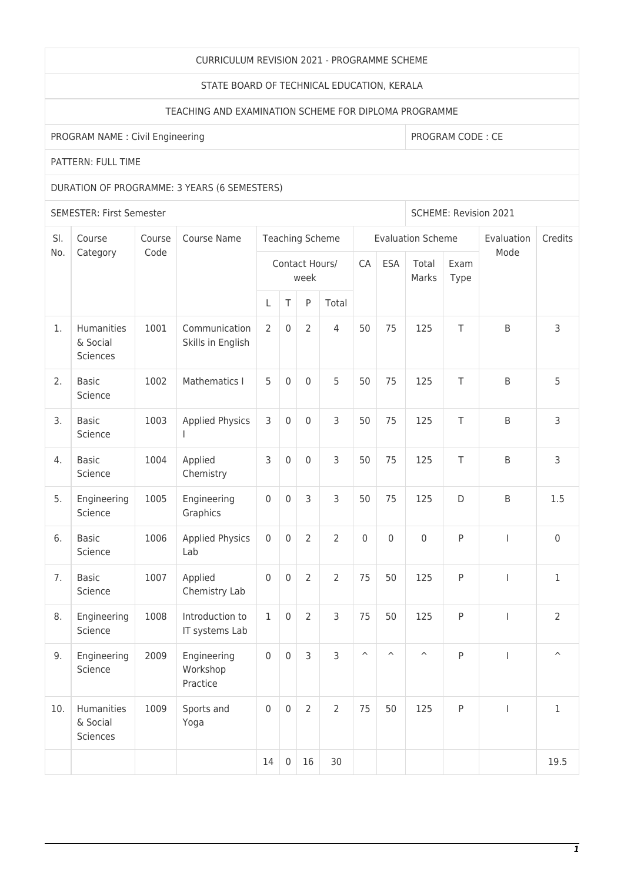## CURRICULUM REVISION 2021 - PROGRAMME SCHEME

## STATE BOARD OF TECHNICAL EDUCATION, KERALA

# TEACHING AND EXAMINATION SCHEME FOR DIPLOMA PROGRAMME

PROGRAM NAME : Civil Engineering PROGRAM CODE : CE

PATTERN: FULL TIME

## DURATION OF PROGRAMME: 3 YEARS (6 SEMESTERS)

SEMESTER: First Semester Superintent and SCHEME: Revision 2021

| SI. | Course<br>Category                 | Course<br>Code | Course Name                         | <b>Teaching Scheme</b> |                  |                |                |                         |                         | <b>Evaluation Scheme</b> | Evaluation   | Credits                  |                         |
|-----|------------------------------------|----------------|-------------------------------------|------------------------|------------------|----------------|----------------|-------------------------|-------------------------|--------------------------|--------------|--------------------------|-------------------------|
| No. |                                    |                |                                     | Contact Hours/<br>week |                  |                |                | CA                      | <b>ESA</b>              | Total<br>Marks           | Exam<br>Type | Mode                     |                         |
|     |                                    |                |                                     | L                      | $\top$           | P              | Total          |                         |                         |                          |              |                          |                         |
| 1.  | Humanities<br>& Social<br>Sciences | 1001           | Communication<br>Skills in English  | 2                      | $\boldsymbol{0}$ | $\overline{2}$ | $\overline{4}$ | 50                      | 75                      | 125                      | T            | B                        | 3                       |
| 2.  | <b>Basic</b><br>Science            | 1002           | Mathematics I                       | 5                      | $\mathbf 0$      | $\mathbf 0$    | 5              | 50                      | 75                      | 125                      | T            | B                        | 5                       |
| 3.  | <b>Basic</b><br>Science            | 1003           | <b>Applied Physics</b>              | 3                      | $\mathbf 0$      | $\mathbf{0}$   | $\mathsf{3}$   | 50                      | 75                      | 125                      | T            | B                        | 3                       |
| 4.  | <b>Basic</b><br>Science            | 1004           | Applied<br>Chemistry                | 3                      | $\mathsf 0$      | 0              | 3              | 50                      | 75                      | 125                      | T            | B                        | 3                       |
| 5.  | Engineering<br>Science             | 1005           | Engineering<br>Graphics             | $\mathbf 0$            | $\mathbf 0$      | 3              | $\overline{3}$ | 50                      | 75                      | 125                      | D            | B                        | 1.5                     |
| 6.  | <b>Basic</b><br>Science            | 1006           | <b>Applied Physics</b><br>Lab       | $\mathbf 0$            | $\mathbf 0$      | $\overline{2}$ | $\overline{2}$ | $\mathbf 0$             | $\mathbf 0$             | $\mathsf 0$              | P            | $\overline{\phantom{a}}$ | $\mathsf{O}\xspace$     |
| 7.  | <b>Basic</b><br>Science            | 1007           | Applied<br>Chemistry Lab            | $\mathbf 0$            | $\mathbf 0$      | $\overline{2}$ | $\overline{2}$ | 75                      | 50                      | 125                      | P            | $\overline{1}$           | $\mathbf{1}$            |
| 8.  | Engineering<br>Science             | 1008           | Introduction to<br>IT systems Lab   | $\mathbf{1}$           | $\mathsf 0$      | $\overline{2}$ | 3              | 75                      | 50                      | 125                      | P            | $\overline{\phantom{a}}$ | $\overline{2}$          |
| 9.  | Engineering<br>Science             | 2009           | Engineering<br>Workshop<br>Practice | $\mathbf 0$            | $\mathbf 0$      | 3              | $\overline{3}$ | $\widehat{\phantom{a}}$ | $\widehat{\phantom{a}}$ | $\widehat{\phantom{a}}$  | P            | $\overline{1}$           | $\widehat{\phantom{a}}$ |
| 10. | Humanities<br>& Social<br>Sciences | 1009           | Sports and<br>Yoga                  | $\mathbf 0$            | $\boldsymbol{0}$ | $\overline{2}$ | $\overline{2}$ | 75                      | 50                      | 125                      | P            | $\overline{1}$           | $\mathbf{1}$            |
|     |                                    |                |                                     | 14                     | $\mathbf 0$      | 16             | 30             |                         |                         |                          |              |                          | 19.5                    |